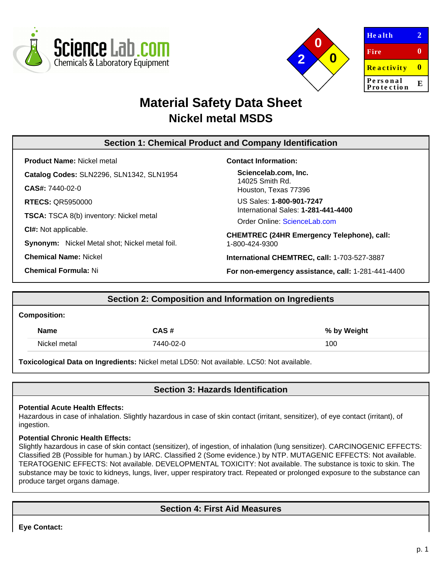



| <b>Health</b>          | Z |
|------------------------|---|
| Fire                   | 0 |
| <b>Reactivity</b>      | Ш |
| Personal<br>Protection | E |
|                        |   |

# **Material Safety Data Sheet Nickel metal MSDS**

# **Section 1: Chemical Product and Company Identification**

**Product Name:** Nickel metal **Catalog Codes:** SLN2296, SLN1342, SLN1954 **CAS#:** 7440-02-0 **RTECS:** QR5950000 **TSCA:** TSCA 8(b) inventory: Nickel metal **CI#:** Not applicable. **Synonym:** Nickel Metal shot; Nickel metal foil. **Chemical Name:** Nickel

**Chemical Formula:** Ni

#### **Contact Information:**

**Sciencelab.com, Inc.** 14025 Smith Rd. Houston, Texas 77396

US Sales: **1-800-901-7247** International Sales: **1-281-441-4400**

Order Online: [ScienceLab.com](http://www.sciencelab.com/)

**CHEMTREC (24HR Emergency Telephone), call:** 1-800-424-9300

**International CHEMTREC, call:** 1-703-527-3887

**For non-emergency assistance, call:** 1-281-441-4400

# **Section 2: Composition and Information on Ingredients**

#### **Composition:**

| <b>Name</b>  | CAS #     | % by Weight |
|--------------|-----------|-------------|
| Nickel metal | 7440-02-0 | 100         |

**Toxicological Data on Ingredients:** Nickel metal LD50: Not available. LC50: Not available.

**Section 3: Hazards Identification**

#### **Potential Acute Health Effects:**

Hazardous in case of inhalation. Slightly hazardous in case of skin contact (irritant, sensitizer), of eye contact (irritant), of ingestion.

#### **Potential Chronic Health Effects:**

Slightly hazardous in case of skin contact (sensitizer), of ingestion, of inhalation (lung sensitizer). CARCINOGENIC EFFECTS: Classified 2B (Possible for human.) by IARC. Classified 2 (Some evidence.) by NTP. MUTAGENIC EFFECTS: Not available. TERATOGENIC EFFECTS: Not available. DEVELOPMENTAL TOXICITY: Not available. The substance is toxic to skin. The substance may be toxic to kidneys, lungs, liver, upper respiratory tract. Repeated or prolonged exposure to the substance can produce target organs damage.

# **Section 4: First Aid Measures**

**Eye Contact:**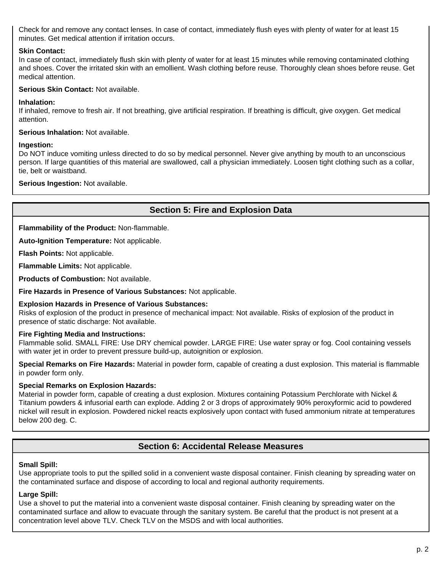Check for and remove any contact lenses. In case of contact, immediately flush eyes with plenty of water for at least 15 minutes. Get medical attention if irritation occurs.

#### **Skin Contact:**

In case of contact, immediately flush skin with plenty of water for at least 15 minutes while removing contaminated clothing and shoes. Cover the irritated skin with an emollient. Wash clothing before reuse. Thoroughly clean shoes before reuse. Get medical attention.

#### **Serious Skin Contact:** Not available.

#### **Inhalation:**

If inhaled, remove to fresh air. If not breathing, give artificial respiration. If breathing is difficult, give oxygen. Get medical attention.

**Serious Inhalation:** Not available.

#### **Ingestion:**

Do NOT induce vomiting unless directed to do so by medical personnel. Never give anything by mouth to an unconscious person. If large quantities of this material are swallowed, call a physician immediately. Loosen tight clothing such as a collar, tie, belt or waistband.

#### **Serious Ingestion:** Not available.

# **Section 5: Fire and Explosion Data**

**Flammability of the Product:** Non-flammable.

**Auto-Ignition Temperature:** Not applicable.

**Flash Points:** Not applicable.

**Flammable Limits:** Not applicable.

**Products of Combustion:** Not available.

**Fire Hazards in Presence of Various Substances:** Not applicable.

#### **Explosion Hazards in Presence of Various Substances:**

Risks of explosion of the product in presence of mechanical impact: Not available. Risks of explosion of the product in presence of static discharge: Not available.

### **Fire Fighting Media and Instructions:**

Flammable solid. SMALL FIRE: Use DRY chemical powder. LARGE FIRE: Use water spray or fog. Cool containing vessels with water jet in order to prevent pressure build-up, autoignition or explosion.

**Special Remarks on Fire Hazards:** Material in powder form, capable of creating a dust explosion. This material is flammable in powder form only.

### **Special Remarks on Explosion Hazards:**

Material in powder form, capable of creating a dust explosion. Mixtures containing Potassium Perchlorate with Nickel & Titanium powders & infusorial earth can explode. Adding 2 or 3 drops of approximately 90% peroxyformic acid to powdered nickel will result in explosion. Powdered nickel reacts explosively upon contact with fused ammonium nitrate at temperatures below 200 deg. C.

# **Section 6: Accidental Release Measures**

### **Small Spill:**

Use appropriate tools to put the spilled solid in a convenient waste disposal container. Finish cleaning by spreading water on the contaminated surface and dispose of according to local and regional authority requirements.

### **Large Spill:**

Use a shovel to put the material into a convenient waste disposal container. Finish cleaning by spreading water on the contaminated surface and allow to evacuate through the sanitary system. Be careful that the product is not present at a concentration level above TLV. Check TLV on the MSDS and with local authorities.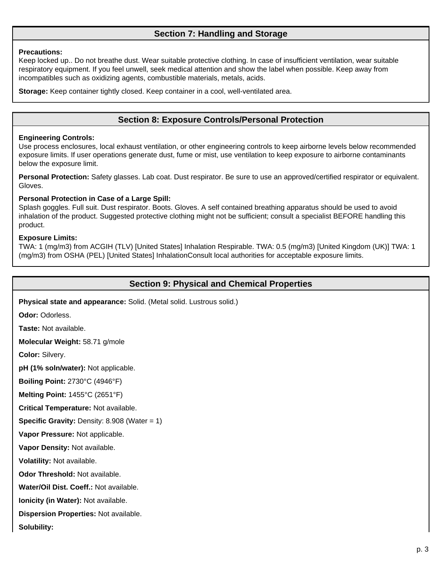# **Section 7: Handling and Storage**

#### **Precautions:**

Keep locked up.. Do not breathe dust. Wear suitable protective clothing. In case of insufficient ventilation, wear suitable respiratory equipment. If you feel unwell, seek medical attention and show the label when possible. Keep away from incompatibles such as oxidizing agents, combustible materials, metals, acids.

**Storage:** Keep container tightly closed. Keep container in a cool, well-ventilated area.

### **Section 8: Exposure Controls/Personal Protection**

#### **Engineering Controls:**

Use process enclosures, local exhaust ventilation, or other engineering controls to keep airborne levels below recommended exposure limits. If user operations generate dust, fume or mist, use ventilation to keep exposure to airborne contaminants below the exposure limit.

**Personal Protection:** Safety glasses. Lab coat. Dust respirator. Be sure to use an approved/certified respirator or equivalent. Gloves.

#### **Personal Protection in Case of a Large Spill:**

Splash goggles. Full suit. Dust respirator. Boots. Gloves. A self contained breathing apparatus should be used to avoid inhalation of the product. Suggested protective clothing might not be sufficient; consult a specialist BEFORE handling this product.

#### **Exposure Limits:**

TWA: 1 (mg/m3) from ACGIH (TLV) [United States] Inhalation Respirable. TWA: 0.5 (mg/m3) [United Kingdom (UK)] TWA: 1 (mg/m3) from OSHA (PEL) [United States] InhalationConsult local authorities for acceptable exposure limits.

### **Section 9: Physical and Chemical Properties**

**Physical state and appearance:** Solid. (Metal solid. Lustrous solid.)

**Odor:** Odorless.

**Taste:** Not available.

**Molecular Weight:** 58.71 g/mole

**Color:** Silvery.

**pH (1% soln/water):** Not applicable.

**Boiling Point:** 2730°C (4946°F)

**Melting Point:** 1455°C (2651°F)

**Critical Temperature:** Not available.

**Specific Gravity: Density: 8.908 (Water = 1)** 

**Vapor Pressure:** Not applicable.

**Vapor Density:** Not available.

**Volatility:** Not available.

**Odor Threshold:** Not available.

**Water/Oil Dist. Coeff.:** Not available.

**Ionicity (in Water):** Not available.

**Dispersion Properties:** Not available.

**Solubility:**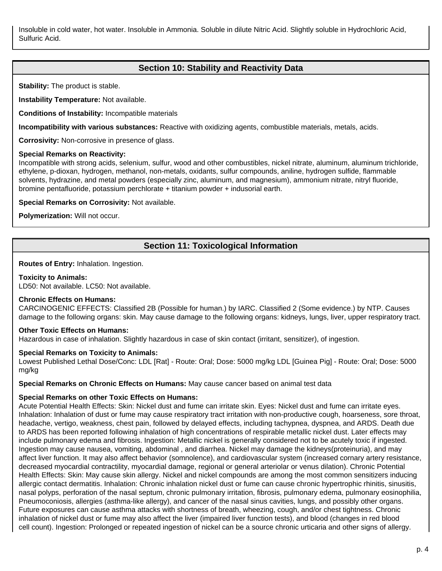Insoluble in cold water, hot water. Insoluble in Ammonia. Soluble in dilute Nitric Acid. Slightly soluble in Hydrochloric Acid, Sulfuric Acid.

# **Section 10: Stability and Reactivity Data**

**Stability:** The product is stable.

**Instability Temperature:** Not available.

**Conditions of Instability:** Incompatible materials

**Incompatibility with various substances:** Reactive with oxidizing agents, combustible materials, metals, acids.

**Corrosivity:** Non-corrosive in presence of glass.

#### **Special Remarks on Reactivity:**

Incompatible with strong acids, selenium, sulfur, wood and other combustibles, nickel nitrate, aluminum, aluminum trichloride, ethylene, p-dioxan, hydrogen, methanol, non-metals, oxidants, sulfur compounds, aniline, hydrogen sulfide, flammable solvents, hydrazine, and metal powders (especially zinc, aluminum, and magnesium), ammonium nitrate, nitryl fluoride, bromine pentafluoride, potassium perchlorate + titanium powder + indusorial earth.

**Special Remarks on Corrosivity:** Not available.

**Polymerization:** Will not occur.

# **Section 11: Toxicological Information**

**Routes of Entry:** Inhalation. Ingestion.

#### **Toxicity to Animals:**

LD50: Not available. LC50: Not available.

#### **Chronic Effects on Humans:**

CARCINOGENIC EFFECTS: Classified 2B (Possible for human.) by IARC. Classified 2 (Some evidence.) by NTP. Causes damage to the following organs: skin. May cause damage to the following organs: kidneys, lungs, liver, upper respiratory tract.

#### **Other Toxic Effects on Humans:**

Hazardous in case of inhalation. Slightly hazardous in case of skin contact (irritant, sensitizer), of ingestion.

#### **Special Remarks on Toxicity to Animals:**

Lowest Published Lethal Dose/Conc: LDL [Rat] - Route: Oral; Dose: 5000 mg/kg LDL [Guinea Pig] - Route: Oral; Dose: 5000 mg/kg

**Special Remarks on Chronic Effects on Humans:** May cause cancer based on animal test data

# **Special Remarks on other Toxic Effects on Humans:**

Acute Potential Health Effects: Skin: Nickel dust and fume can irritate skin. Eyes: Nickel dust and fume can irritate eyes. Inhalation: Inhalation of dust or fume may cause respiratory tract irritation with non-productive cough, hoarseness, sore throat, headache, vertigo, weakness, chest pain, followed by delayed effects, including tachypnea, dyspnea, and ARDS. Death due to ARDS has been reported following inhalation of high concentrations of respirable metallic nickel dust. Later effects may include pulmonary edema and fibrosis. Ingestion: Metallic nickel is generally considered not to be acutely toxic if ingested. Ingestion may cause nausea, vomiting, abdominal , and diarrhea. Nickel may damage the kidneys(proteinuria), and may affect liver function. It may also affect behavior (somnolence), and cardiovascular system (increased cornary artery resistance, decreased myocardial contractility, myocardial damage, regional or general arteriolar or venus dilation). Chronic Potential Health Effects: Skin: May cause skin allergy. Nickel and nickel compounds are among the most common sensitizers inducing allergic contact dermatitis. Inhalation: Chronic inhalation nickel dust or fume can cause chronic hypertrophic rhinitis, sinusitis, nasal polyps, perforation of the nasal septum, chronic pulmonary irritation, fibrosis, pulmonary edema, pulmonary eosinophilia, Pneumoconiosis, allergies (asthma-like allergy), and cancer of the nasal sinus cavities, lungs, and possibly other organs. Future exposures can cause asthma attacks with shortness of breath, wheezing, cough, and/or chest tightness. Chronic inhalation of nickel dust or fume may also affect the liver (impaired liver function tests), and blood (changes in red blood cell count). Ingestion: Prolonged or repeated ingestion of nickel can be a source chronic urticaria and other signs of allergy.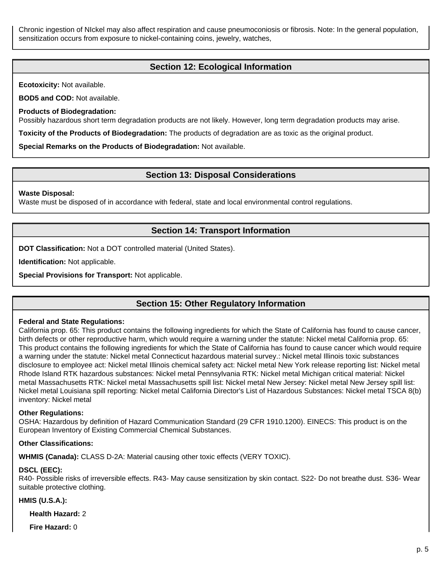Chronic ingestion of NIckel may also affect respiration and cause pneumoconiosis or fibrosis. Note: In the general population, sensitization occurs from exposure to nickel-containing coins, jewelry, watches,

# **Section 12: Ecological Information**

**Ecotoxicity:** Not available.

**BOD5 and COD:** Not available.

**Products of Biodegradation:**

Possibly hazardous short term degradation products are not likely. However, long term degradation products may arise.

**Toxicity of the Products of Biodegradation:** The products of degradation are as toxic as the original product.

**Special Remarks on the Products of Biodegradation:** Not available.

### **Section 13: Disposal Considerations**

#### **Waste Disposal:**

Waste must be disposed of in accordance with federal, state and local environmental control regulations.

### **Section 14: Transport Information**

**DOT Classification:** Not a DOT controlled material (United States).

**Identification:** Not applicable.

**Special Provisions for Transport:** Not applicable.

# **Section 15: Other Regulatory Information**

#### **Federal and State Regulations:**

California prop. 65: This product contains the following ingredients for which the State of California has found to cause cancer, birth defects or other reproductive harm, which would require a warning under the statute: Nickel metal California prop. 65: This product contains the following ingredients for which the State of California has found to cause cancer which would require a warning under the statute: Nickel metal Connecticut hazardous material survey.: Nickel metal Illinois toxic substances disclosure to employee act: Nickel metal Illinois chemical safety act: Nickel metal New York release reporting list: Nickel metal Rhode Island RTK hazardous substances: Nickel metal Pennsylvania RTK: Nickel metal Michigan critical material: Nickel metal Massachusetts RTK: Nickel metal Massachusetts spill list: Nickel metal New Jersey: Nickel metal New Jersey spill list: Nickel metal Louisiana spill reporting: Nickel metal California Director's List of Hazardous Substances: Nickel metal TSCA 8(b) inventory: Nickel metal

#### **Other Regulations:**

OSHA: Hazardous by definition of Hazard Communication Standard (29 CFR 1910.1200). EINECS: This product is on the European Inventory of Existing Commercial Chemical Substances.

#### **Other Classifications:**

**WHMIS (Canada):** CLASS D-2A: Material causing other toxic effects (VERY TOXIC).

#### **DSCL (EEC):**

R40- Possible risks of irreversible effects. R43- May cause sensitization by skin contact. S22- Do not breathe dust. S36- Wear suitable protective clothing.

#### **HMIS (U.S.A.):**

**Health Hazard:** 2

**Fire Hazard:** 0